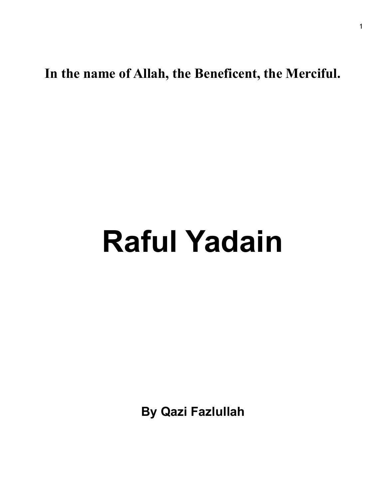**In the name of Allah, the Beneficent, the Merciful.** 

## **Raful Yadain**

**By Qazi Fazlullah**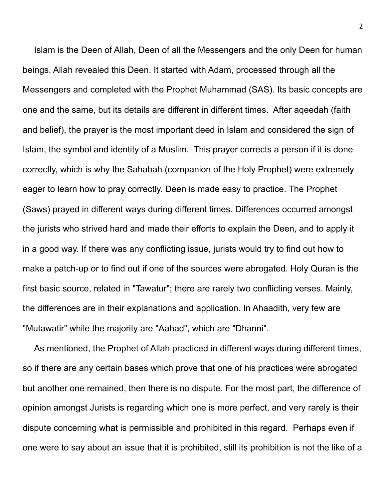Islam is the Deen of Allah, Deen of all the Messengers and the only Deen for human beings. Allah revealed this Deen. It started with Adam, processed through all the Messengers and completed with the Prophet Muhammad (SAS). Its basic concepts are one and the same, but its details are different in different times. After aqeedah (faith and belief), the prayer is the most important deed in Islam and considered the sign of Islam, the symbol and identity of a Muslim. This prayer corrects a person if it is done correctly, which is why the Sahabah (companion of the Holy Prophet) were extremely eager to learn how to pray correctly. Deen is made easy to practice. The Prophet (Saws) prayed in different ways during different times. Differences occurred amongst the jurists who strived hard and made their efforts to explain the Deen, and to apply it in a good way. If there was any conflicting issue, jurists would try to find out how to make a patch-up or to find out if one of the sources were abrogated. Holy Quran is the first basic source, related in "Tawatur"; there are rarely two conflicting verses. Mainly, the differences are in their explanations and application. In Ahaadith, very few are "Mutawatir" while the majority are "Aahad", which are "Dhanni".

As mentioned, the Prophet of Allah practiced in different ways during different times, so if there are any certain bases which prove that one of his practices were abrogated but another one remained, then there is no dispute. For the most part, the difference of opinion amongst Jurists is regarding which one is more perfect, and very rarely is their dispute concerning what is permissible and prohibited in this regard. Perhaps even if one were to say about an issue that it is prohibited, still its prohibition is not the like of a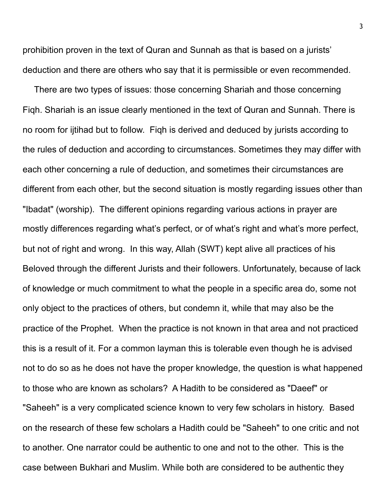prohibition proven in the text of Quran and Sunnah as that is based on a jurists' deduction and there are others who say that it is permissible or even recommended.

There are two types of issues: those concerning Shariah and those concerning Fiqh. Shariah is an issue clearly mentioned in the text of Quran and Sunnah. There is no room for ijtihad but to follow. Fiqh is derived and deduced by jurists according to the rules of deduction and according to circumstances. Sometimes they may differ with each other concerning a rule of deduction, and sometimes their circumstances are different from each other, but the second situation is mostly regarding issues other than "Ibadat" (worship). The different opinions regarding various actions in prayer are mostly differences regarding what's perfect, or of what's right and what's more perfect, but not of right and wrong. In this way, Allah (SWT) kept alive all practices of his Beloved through the different Jurists and their followers. Unfortunately, because of lack of knowledge or much commitment to what the people in a specific area do, some not only object to the practices of others, but condemn it, while that may also be the practice of the Prophet. When the practice is not known in that area and not practiced this is a result of it. For a common layman this is tolerable even though he is advised not to do so as he does not have the proper knowledge, the question is what happened to those who are known as scholars? A Hadith to be considered as "Daeef" or "Saheeh" is a very complicated science known to very few scholars in history. Based on the research of these few scholars a Hadith could be "Saheeh" to one critic and not to another. One narrator could be authentic to one and not to the other. This is the case between Bukhari and Muslim. While both are considered to be authentic they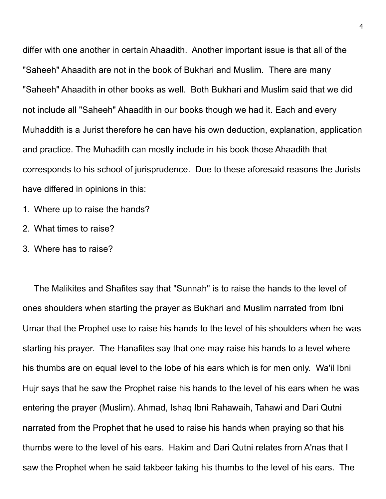differ with one another in certain Ahaadith. Another important issue is that all of the "Saheeh" Ahaadith are not in the book of Bukhari and Muslim. There are many "Saheeh" Ahaadith in other books as well. Both Bukhari and Muslim said that we did not include all "Saheeh" Ahaadith in our books though we had it. Each and every Muhaddith is a Jurist therefore he can have his own deduction, explanation, application and practice. The Muhadith can mostly include in his book those Ahaadith that corresponds to his school of jurisprudence. Due to these aforesaid reasons the Jurists have differed in opinions in this:

- 1. Where up to raise the hands?
- 2. What times to raise?
- 3. Where has to raise?

The Malikites and Shafites say that "Sunnah" is to raise the hands to the level of ones shoulders when starting the prayer as Bukhari and Muslim narrated from Ibni Umar that the Prophet use to raise his hands to the level of his shoulders when he was starting his prayer. The Hanafites say that one may raise his hands to a level where his thumbs are on equal level to the lobe of his ears which is for men only. Wa'il Ibni Hujr says that he saw the Prophet raise his hands to the level of his ears when he was entering the prayer (Muslim). Ahmad, Ishaq Ibni Rahawaih, Tahawi and Dari Qutni narrated from the Prophet that he used to raise his hands when praying so that his thumbs were to the level of his ears. Hakim and Dari Qutni relates from A'nas that I saw the Prophet when he said takbeer taking his thumbs to the level of his ears. The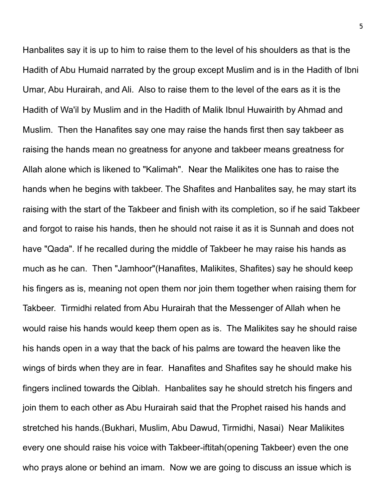Hanbalites say it is up to him to raise them to the level of his shoulders as that is the Hadith of Abu Humaid narrated by the group except Muslim and is in the Hadith of Ibni Umar, Abu Hurairah, and Ali. Also to raise them to the level of the ears as it is the Hadith of Wa'il by Muslim and in the Hadith of Malik Ibnul Huwairith by Ahmad and Muslim. Then the Hanafites say one may raise the hands first then say takbeer as raising the hands mean no greatness for anyone and takbeer means greatness for Allah alone which is likened to "Kalimah". Near the Malikites one has to raise the hands when he begins with takbeer. The Shafites and Hanbalites say, he may start its raising with the start of the Takbeer and finish with its completion, so if he said Takbeer and forgot to raise his hands, then he should not raise it as it is Sunnah and does not have "Qada". If he recalled during the middle of Takbeer he may raise his hands as much as he can. Then "Jamhoor"(Hanafites, Malikites, Shafites) say he should keep his fingers as is, meaning not open them nor join them together when raising them for Takbeer. Tirmidhi related from Abu Hurairah that the Messenger of Allah when he would raise his hands would keep them open as is. The Malikites say he should raise his hands open in a way that the back of his palms are toward the heaven like the wings of birds when they are in fear. Hanafites and Shafites say he should make his fingers inclined towards the Qiblah. Hanbalites say he should stretch his fingers and join them to each other as Abu Hurairah said that the Prophet raised his hands and stretched his hands.(Bukhari, Muslim, Abu Dawud, Tirmidhi, Nasai) Near Malikites every one should raise his voice with Takbeer-iftitah(opening Takbeer) even the one who prays alone or behind an imam. Now we are going to discuss an issue which is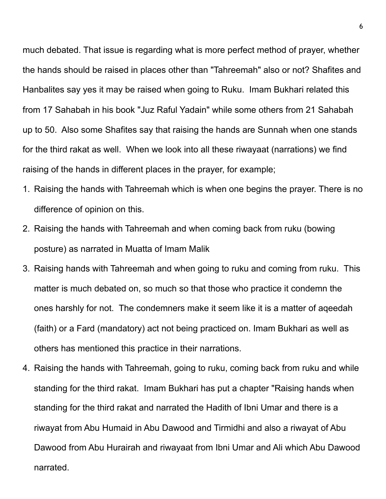much debated. That issue is regarding what is more perfect method of prayer, whether the hands should be raised in places other than "Tahreemah" also or not? Shafites and Hanbalites say yes it may be raised when going to Ruku. Imam Bukhari related this from 17 Sahabah in his book "Juz Raful Yadain" while some others from 21 Sahabah up to 50. Also some Shafites say that raising the hands are Sunnah when one stands for the third rakat as well. When we look into all these riwayaat (narrations) we find raising of the hands in different places in the prayer, for example;

- 1. Raising the hands with Tahreemah which is when one begins the prayer. There is no difference of opinion on this.
- 2. Raising the hands with Tahreemah and when coming back from ruku (bowing posture) as narrated in Muatta of Imam Malik
- 3. Raising hands with Tahreemah and when going to ruku and coming from ruku. This matter is much debated on, so much so that those who practice it condemn the ones harshly for not. The condemners make it seem like it is a matter of aqeedah (faith) or a Fard (mandatory) act not being practiced on. Imam Bukhari as well as others has mentioned this practice in their narrations.
- 4. Raising the hands with Tahreemah, going to ruku, coming back from ruku and while standing for the third rakat. Imam Bukhari has put a chapter "Raising hands when standing for the third rakat and narrated the Hadith of Ibni Umar and there is a riwayat from Abu Humaid in Abu Dawood and Tirmidhi and also a riwayat of Abu Dawood from Abu Hurairah and riwayaat from Ibni Umar and Ali which Abu Dawood narrated.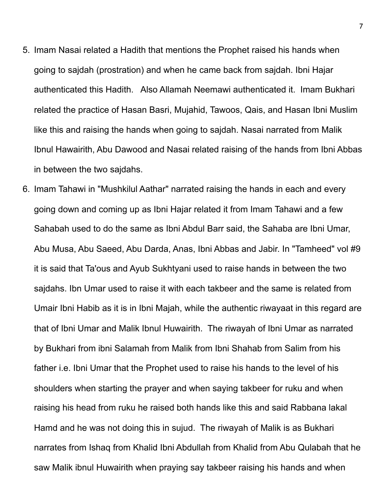- 5. Imam Nasai related a Hadith that mentions the Prophet raised his hands when going to sajdah (prostration) and when he came back from sajdah. Ibni Hajar authenticated this Hadith. Also Allamah Neemawi authenticated it. Imam Bukhari related the practice of Hasan Basri, Mujahid, Tawoos, Qais, and Hasan Ibni Muslim like this and raising the hands when going to sajdah. Nasai narrated from Malik Ibnul Hawairith, Abu Dawood and Nasai related raising of the hands from Ibni Abbas in between the two sajdahs.
- 6. Imam Tahawi in "Mushkilul Aathar" narrated raising the hands in each and every going down and coming up as Ibni Hajar related it from Imam Tahawi and a few Sahabah used to do the same as Ibni Abdul Barr said, the Sahaba are Ibni Umar, Abu Musa, Abu Saeed, Abu Darda, Anas, Ibni Abbas and Jabir. In "Tamheed" vol #9 it is said that Ta'ous and Ayub Sukhtyani used to raise hands in between the two sajdahs. Ibn Umar used to raise it with each takbeer and the same is related from Umair Ibni Habib as it is in Ibni Majah, while the authentic riwayaat in this regard are that of Ibni Umar and Malik Ibnul Huwairith. The riwayah of Ibni Umar as narrated by Bukhari from ibni Salamah from Malik from Ibni Shahab from Salim from his father i.e. Ibni Umar that the Prophet used to raise his hands to the level of his shoulders when starting the prayer and when saying takbeer for ruku and when raising his head from ruku he raised both hands like this and said Rabbana lakal Hamd and he was not doing this in sujud. The riwayah of Malik is as Bukhari narrates from Ishaq from Khalid Ibni Abdullah from Khalid from Abu Qulabah that he saw Malik ibnul Huwairith when praying say takbeer raising his hands and when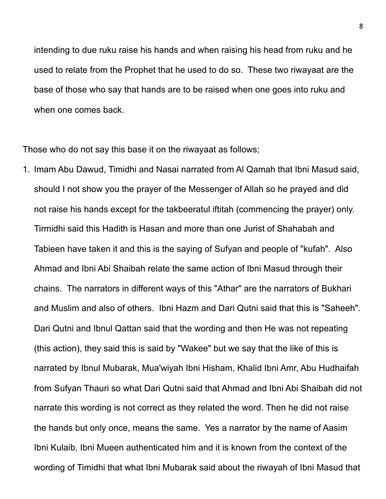intending to due ruku raise his hands and when raising his head from ruku and he used to relate from the Prophet that he used to do so. These two riwayaat are the base of those who say that hands are to be raised when one goes into ruku and when one comes back.

Those who do not say this base it on the riwayaat as follows;

1. Imam Abu Dawud, Timidhi and Nasai narrated from Al Qamah that Ibni Masud said, should I not show you the prayer of the Messenger of Allah so he prayed and did not raise his hands except for the takbeeratul iftitah (commencing the prayer) only. Tirmidhi said this Hadith is Hasan and more than one Jurist of Shahabah and Tabieen have taken it and this is the saying of Sufyan and people of "kufah". Also Ahmad and Ibni Abi Shaibah relate the same action of Ibni Masud through their chains. The narrators in different ways of this "Athar" are the narrators of Bukhari and Muslim and also of others. Ibni Hazm and Dari Qutni said that this is "Saheeh". Dari Qutni and Ibnul Qattan said that the wording and then He was not repeating (this action), they said this is said by "Wakee" but we say that the like of this is narrated by Ibnul Mubarak, Mua'wiyah Ibni Hisham, Khalid Ibni Amr, Abu Hudhaifah from Sufyan Thauri so what Dari Qutni said that Ahmad and Ibni Abi Shaibah did not narrate this wording is not correct as they related the word. Then he did not raise the hands but only once, means the same. Yes a narrator by the name of Aasim Ibni Kulaib, Ibni Mueen authenticated him and it is known from the context of the wording of Timidhi that what Ibni Mubarak said about the riwayah of Ibni Masud that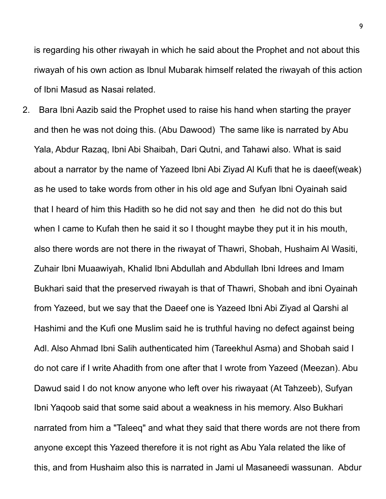is regarding his other riwayah in which he said about the Prophet and not about this riwayah of his own action as Ibnul Mubarak himself related the riwayah of this action of Ibni Masud as Nasai related.

2. Bara Ibni Aazib said the Prophet used to raise his hand when starting the prayer and then he was not doing this. (Abu Dawood) The same like is narrated by Abu Yala, Abdur Razaq, Ibni Abi Shaibah, Dari Qutni, and Tahawi also. What is said about a narrator by the name of Yazeed Ibni Abi Ziyad Al Kufi that he is daeef(weak) as he used to take words from other in his old age and Sufyan Ibni Oyainah said that I heard of him this Hadith so he did not say and then he did not do this but when I came to Kufah then he said it so I thought maybe they put it in his mouth, also there words are not there in the riwayat of Thawri, Shobah, Hushaim Al Wasiti, Zuhair Ibni Muaawiyah, Khalid Ibni Abdullah and Abdullah Ibni Idrees and Imam Bukhari said that the preserved riwayah is that of Thawri, Shobah and ibni Oyainah from Yazeed, but we say that the Daeef one is Yazeed Ibni Abi Ziyad al Qarshi al Hashimi and the Kufi one Muslim said he is truthful having no defect against being Adl. Also Ahmad Ibni Salih authenticated him (Tareekhul Asma) and Shobah said I do not care if I write Ahadith from one after that I wrote from Yazeed (Meezan). Abu Dawud said I do not know anyone who left over his riwayaat (At Tahzeeb), Sufyan Ibni Yaqoob said that some said about a weakness in his memory. Also Bukhari narrated from him a "Taleeq" and what they said that there words are not there from anyone except this Yazeed therefore it is not right as Abu Yala related the like of this, and from Hushaim also this is narrated in Jami ul Masaneedi wassunan. Abdur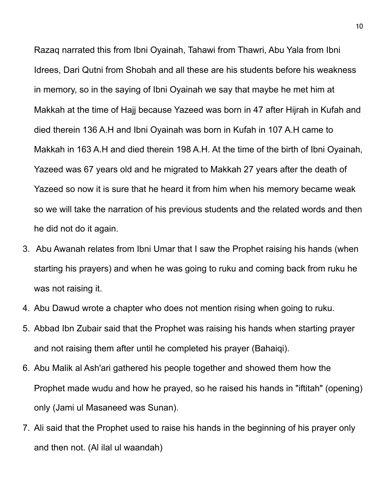Razaq narrated this from Ibni Oyainah, Tahawi from Thawri, Abu Yala from Ibni Idrees, Dari Qutni from Shobah and all these are his students before his weakness in memory, so in the saying of Ibni Oyainah we say that maybe he met him at Makkah at the time of Hajj because Yazeed was born in 47 after Hijrah in Kufah and died therein 136 A.H and Ibni Oyainah was born in Kufah in 107 A.H came to Makkah in 163 A.H and died therein 198 A.H. At the time of the birth of Ibni Oyainah, Yazeed was 67 years old and he migrated to Makkah 27 years after the death of Yazeed so now it is sure that he heard it from him when his memory became weak so we will take the narration of his previous students and the related words and then he did not do it again.

- 3. Abu Awanah relates from Ibni Umar that I saw the Prophet raising his hands (when starting his prayers) and when he was going to ruku and coming back from ruku he was not raising it.
- 4. Abu Dawud wrote a chapter who does not mention rising when going to ruku.
- 5. Abbad Ibn Zubair said that the Prophet was raising his hands when starting prayer and not raising them after until he completed his prayer (Bahaiqi).
- 6. Abu Malik al Ash'ari gathered his people together and showed them how the Prophet made wudu and how he prayed, so he raised his hands in "iftitah" (opening) only (Jami ul Masaneed was Sunan).
- 7. Ali said that the Prophet used to raise his hands in the beginning of his prayer only and then not. (Al ilal ul waandah)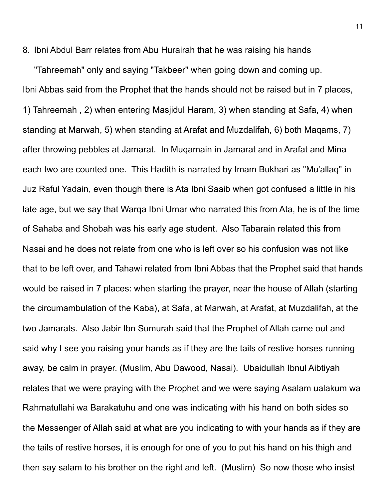8. Ibni Abdul Barr relates from Abu Hurairah that he was raising his hands

"Tahreemah" only and saying "Takbeer" when going down and coming up. Ibni Abbas said from the Prophet that the hands should not be raised but in 7 places, 1) Tahreemah , 2) when entering Masjidul Haram, 3) when standing at Safa, 4) when standing at Marwah, 5) when standing at Arafat and Muzdalifah, 6) both Maqams, 7) after throwing pebbles at Jamarat. In Muqamain in Jamarat and in Arafat and Mina each two are counted one. This Hadith is narrated by Imam Bukhari as "Mu'allaq" in Juz Raful Yadain, even though there is Ata Ibni Saaib when got confused a little in his late age, but we say that Warqa Ibni Umar who narrated this from Ata, he is of the time of Sahaba and Shobah was his early age student. Also Tabarain related this from Nasai and he does not relate from one who is left over so his confusion was not like that to be left over, and Tahawi related from Ibni Abbas that the Prophet said that hands would be raised in 7 places: when starting the prayer, near the house of Allah (starting the circumambulation of the Kaba), at Safa, at Marwah, at Arafat, at Muzdalifah, at the two Jamarats. Also Jabir Ibn Sumurah said that the Prophet of Allah came out and said why I see you raising your hands as if they are the tails of restive horses running away, be calm in prayer. (Muslim, Abu Dawood, Nasai). Ubaidullah Ibnul Aibtiyah relates that we were praying with the Prophet and we were saying Asalam ualakum wa Rahmatullahi wa Barakatuhu and one was indicating with his hand on both sides so the Messenger of Allah said at what are you indicating to with your hands as if they are the tails of restive horses, it is enough for one of you to put his hand on his thigh and then say salam to his brother on the right and left. (Muslim) So now those who insist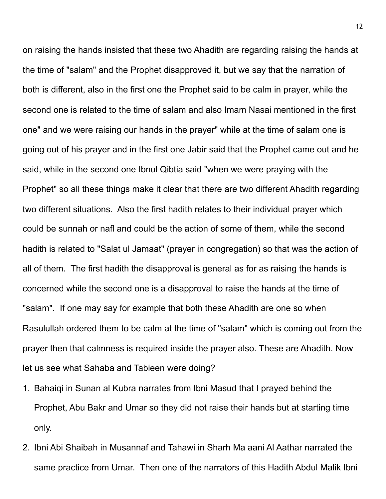on raising the hands insisted that these two Ahadith are regarding raising the hands at the time of "salam" and the Prophet disapproved it, but we say that the narration of both is different, also in the first one the Prophet said to be calm in prayer, while the second one is related to the time of salam and also Imam Nasai mentioned in the first one" and we were raising our hands in the prayer" while at the time of salam one is going out of his prayer and in the first one Jabir said that the Prophet came out and he said, while in the second one Ibnul Qibtia said "when we were praying with the Prophet" so all these things make it clear that there are two different Ahadith regarding two different situations. Also the first hadith relates to their individual prayer which could be sunnah or nafl and could be the action of some of them, while the second hadith is related to "Salat ul Jamaat" (prayer in congregation) so that was the action of all of them. The first hadith the disapproval is general as for as raising the hands is concerned while the second one is a disapproval to raise the hands at the time of "salam". If one may say for example that both these Ahadith are one so when Rasulullah ordered them to be calm at the time of "salam" which is coming out from the prayer then that calmness is required inside the prayer also. These are Ahadith. Now let us see what Sahaba and Tabieen were doing?

- 1. Bahaiqi in Sunan al Kubra narrates from Ibni Masud that I prayed behind the Prophet, Abu Bakr and Umar so they did not raise their hands but at starting time only.
- 2. Ibni Abi Shaibah in Musannaf and Tahawi in Sharh Ma aani Al Aathar narrated the same practice from Umar. Then one of the narrators of this Hadith Abdul Malik Ibni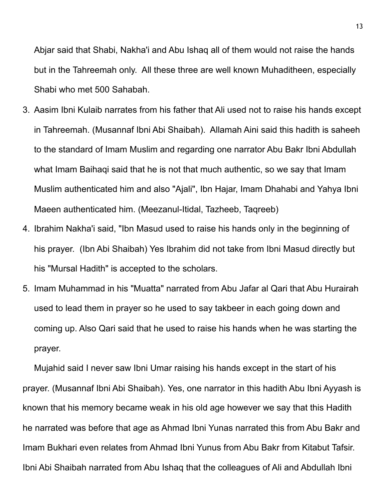Abjar said that Shabi, Nakha'i and Abu Ishaq all of them would not raise the hands but in the Tahreemah only. All these three are well known Muhaditheen, especially Shabi who met 500 Sahabah.

- 3. Aasim Ibni Kulaib narrates from his father that Ali used not to raise his hands except in Tahreemah. (Musannaf Ibni Abi Shaibah). Allamah Aini said this hadith is saheeh to the standard of Imam Muslim and regarding one narrator Abu Bakr Ibni Abdullah what Imam Baihaqi said that he is not that much authentic, so we say that Imam Muslim authenticated him and also "Ajali", Ibn Hajar, Imam Dhahabi and Yahya Ibni Maeen authenticated him. (Meezanul-Itidal, Tazheeb, Taqreeb)
- 4. Ibrahim Nakha'i said, "Ibn Masud used to raise his hands only in the beginning of his prayer. (Ibn Abi Shaibah) Yes Ibrahim did not take from Ibni Masud directly but his "Mursal Hadith" is accepted to the scholars.
- 5. Imam Muhammad in his "Muatta" narrated from Abu Jafar al Qari that Abu Hurairah used to lead them in prayer so he used to say takbeer in each going down and coming up. Also Qari said that he used to raise his hands when he was starting the prayer.

Mujahid said I never saw Ibni Umar raising his hands except in the start of his prayer. (Musannaf Ibni Abi Shaibah). Yes, one narrator in this hadith Abu Ibni Ayyash is known that his memory became weak in his old age however we say that this Hadith he narrated was before that age as Ahmad Ibni Yunas narrated this from Abu Bakr and Imam Bukhari even relates from Ahmad Ibni Yunus from Abu Bakr from Kitabut Tafsir. Ibni Abi Shaibah narrated from Abu Ishaq that the colleagues of Ali and Abdullah Ibni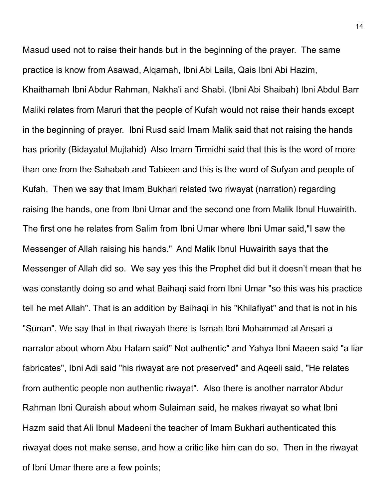Masud used not to raise their hands but in the beginning of the prayer. The same practice is know from Asawad, Alqamah, Ibni Abi Laila, Qais Ibni Abi Hazim, Khaithamah Ibni Abdur Rahman, Nakha'i and Shabi. (Ibni Abi Shaibah) Ibni Abdul Barr Maliki relates from Maruri that the people of Kufah would not raise their hands except in the beginning of prayer. Ibni Rusd said Imam Malik said that not raising the hands has priority (Bidayatul Mujtahid) Also Imam Tirmidhi said that this is the word of more than one from the Sahabah and Tabieen and this is the word of Sufyan and people of Kufah. Then we say that Imam Bukhari related two riwayat (narration) regarding raising the hands, one from Ibni Umar and the second one from Malik Ibnul Huwairith. The first one he relates from Salim from Ibni Umar where Ibni Umar said,"I saw the Messenger of Allah raising his hands." And Malik Ibnul Huwairith says that the Messenger of Allah did so. We say yes this the Prophet did but it doesn't mean that he was constantly doing so and what Baihaqi said from Ibni Umar "so this was his practice tell he met Allah". That is an addition by Baihaqi in his "Khilafiyat" and that is not in his "Sunan". We say that in that riwayah there is Ismah Ibni Mohammad al Ansari a narrator about whom Abu Hatam said" Not authentic" and Yahya Ibni Maeen said "a liar fabricates", Ibni Adi said "his riwayat are not preserved" and Aqeeli said, "He relates from authentic people non authentic riwayat". Also there is another narrator Abdur Rahman Ibni Quraish about whom Sulaiman said, he makes riwayat so what Ibni Hazm said that Ali Ibnul Madeeni the teacher of Imam Bukhari authenticated this riwayat does not make sense, and how a critic like him can do so. Then in the riwayat of Ibni Umar there are a few points;

14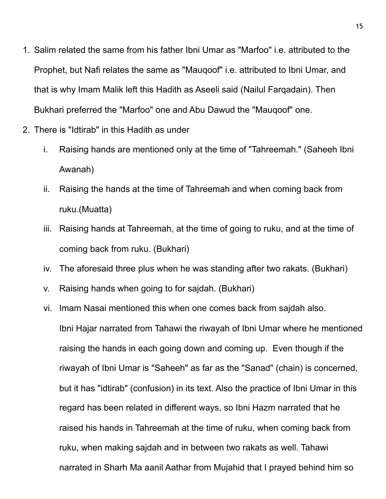- 1. Salim related the same from his father Ibni Umar as "Marfoo" i.e. attributed to the Prophet, but Nafi relates the same as "Mauqoof" i.e. attributed to Ibni Umar, and that is why Imam Malik left this Hadith as Aseeli said (Nailul Farqadain). Then Bukhari preferred the "Marfoo" one and Abu Dawud the "Mauqoof" one.
- 2. There is "Idtirab" in this Hadith as under
	- i. Raising hands are mentioned only at the time of "Tahreemah." (Saheeh Ibni Awanah)
	- ii. Raising the hands at the time of Tahreemah and when coming back from ruku.(Muatta)
	- iii. Raising hands at Tahreemah, at the time of going to ruku, and at the time of coming back from ruku. (Bukhari)
	- iv. The aforesaid three plus when he was standing after two rakats. (Bukhari)
	- v. Raising hands when going to for sajdah. (Bukhari)
	- vi. Imam Nasai mentioned this when one comes back from sajdah also. Ibni Hajar narrated from Tahawi the riwayah of Ibni Umar where he mentioned raising the hands in each going down and coming up. Even though if the riwayah of Ibni Umar is "Saheeh" as far as the "Sanad" (chain) is concerned, but it has "idtirab" (confusion) in its text. Also the practice of Ibni Umar in this regard has been related in different ways, so Ibni Hazm narrated that he raised his hands in Tahreemah at the time of ruku, when coming back from ruku, when making sajdah and in between two rakats as well. Tahawi narrated in Sharh Ma aanil Aathar from Mujahid that I prayed behind him so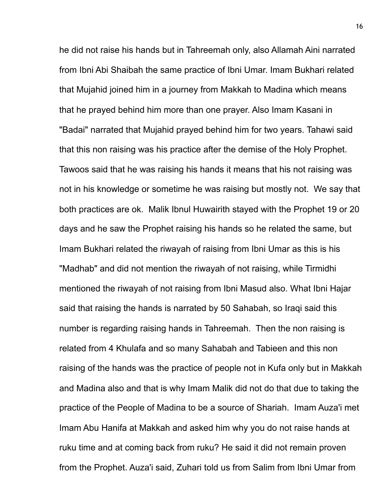he did not raise his hands but in Tahreemah only, also Allamah Aini narrated from Ibni Abi Shaibah the same practice of Ibni Umar. Imam Bukhari related that Mujahid joined him in a journey from Makkah to Madina which means that he prayed behind him more than one prayer. Also Imam Kasani in "Badai" narrated that Mujahid prayed behind him for two years. Tahawi said that this non raising was his practice after the demise of the Holy Prophet. Tawoos said that he was raising his hands it means that his not raising was not in his knowledge or sometime he was raising but mostly not. We say that both practices are ok. Malik Ibnul Huwairith stayed with the Prophet 19 or 20 days and he saw the Prophet raising his hands so he related the same, but Imam Bukhari related the riwayah of raising from Ibni Umar as this is his "Madhab" and did not mention the riwayah of not raising, while Tirmidhi mentioned the riwayah of not raising from Ibni Masud also. What Ibni Hajar said that raising the hands is narrated by 50 Sahabah, so Iraqi said this number is regarding raising hands in Tahreemah. Then the non raising is related from 4 Khulafa and so many Sahabah and Tabieen and this non raising of the hands was the practice of people not in Kufa only but in Makkah and Madina also and that is why Imam Malik did not do that due to taking the practice of the People of Madina to be a source of Shariah. Imam Auza'i met Imam Abu Hanifa at Makkah and asked him why you do not raise hands at ruku time and at coming back from ruku? He said it did not remain proven from the Prophet. Auza'i said, Zuhari told us from Salim from Ibni Umar from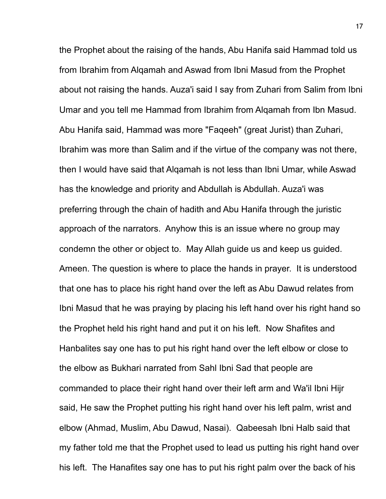the Prophet about the raising of the hands, Abu Hanifa said Hammad told us from Ibrahim from Alqamah and Aswad from Ibni Masud from the Prophet about not raising the hands. Auza'i said I say from Zuhari from Salim from Ibni Umar and you tell me Hammad from Ibrahim from Alqamah from Ibn Masud. Abu Hanifa said, Hammad was more "Faqeeh" (great Jurist) than Zuhari, Ibrahim was more than Salim and if the virtue of the company was not there, then I would have said that Alqamah is not less than Ibni Umar, while Aswad has the knowledge and priority and Abdullah is Abdullah. Auza'i was preferring through the chain of hadith and Abu Hanifa through the juristic approach of the narrators. Anyhow this is an issue where no group may condemn the other or object to. May Allah guide us and keep us guided. Ameen. The question is where to place the hands in prayer. It is understood that one has to place his right hand over the left as Abu Dawud relates from Ibni Masud that he was praying by placing his left hand over his right hand so the Prophet held his right hand and put it on his left. Now Shafites and Hanbalites say one has to put his right hand over the left elbow or close to the elbow as Bukhari narrated from Sahl Ibni Sad that people are commanded to place their right hand over their left arm and Wa'il Ibni Hijr said, He saw the Prophet putting his right hand over his left palm, wrist and elbow (Ahmad, Muslim, Abu Dawud, Nasai). Qabeesah Ibni Halb said that my father told me that the Prophet used to lead us putting his right hand over his left. The Hanafites say one has to put his right palm over the back of his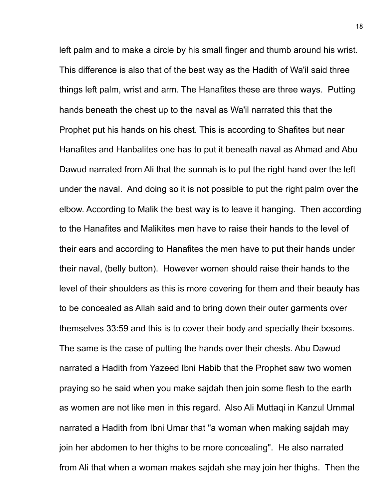left palm and to make a circle by his small finger and thumb around his wrist. This difference is also that of the best way as the Hadith of Wa'il said three things left palm, wrist and arm. The Hanafites these are three ways. Putting hands beneath the chest up to the naval as Wa'il narrated this that the Prophet put his hands on his chest. This is according to Shafites but near Hanafites and Hanbalites one has to put it beneath naval as Ahmad and Abu Dawud narrated from Ali that the sunnah is to put the right hand over the left under the naval. And doing so it is not possible to put the right palm over the elbow. According to Malik the best way is to leave it hanging. Then according to the Hanafites and Malikites men have to raise their hands to the level of their ears and according to Hanafites the men have to put their hands under their naval, (belly button). However women should raise their hands to the level of their shoulders as this is more covering for them and their beauty has to be concealed as Allah said and to bring down their outer garments over themselves 33:59 and this is to cover their body and specially their bosoms. The same is the case of putting the hands over their chests. Abu Dawud narrated a Hadith from Yazeed Ibni Habib that the Prophet saw two women praying so he said when you make sajdah then join some flesh to the earth as women are not like men in this regard. Also Ali Muttaqi in Kanzul Ummal narrated a Hadith from Ibni Umar that "a woman when making sajdah may join her abdomen to her thighs to be more concealing". He also narrated from Ali that when a woman makes sajdah she may join her thighs. Then the